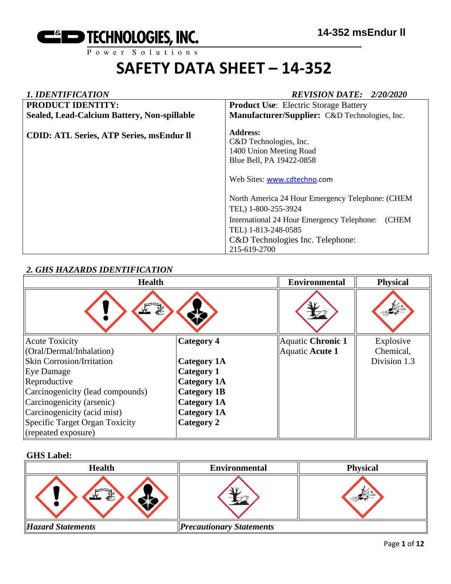

| <b>1. IDENTIFICATION</b>                        | <b>REVISION DATE: 2/20/2020</b>                                                                                                                                                                                                                                                                                              |
|-------------------------------------------------|------------------------------------------------------------------------------------------------------------------------------------------------------------------------------------------------------------------------------------------------------------------------------------------------------------------------------|
| <b>PRODUCT IDENTITY:</b>                        | <b>Product Use:</b> Electric Storage Battery                                                                                                                                                                                                                                                                                 |
| Sealed, Lead-Calcium Battery, Non-spillable     | Manufacturer/Supplier: C&D Technologies, Inc.                                                                                                                                                                                                                                                                                |
| <b>CDID: ATL Series, ATP Series, msEndur II</b> | <b>Address:</b><br>C&D Technologies, Inc.<br>1400 Union Meeting Road<br>Blue Bell, PA 19422-0858<br>Web Sites: www.cdtechno.com<br>North America 24 Hour Emergency Telephone: (CHEM<br>TEL) 1-800-255-3924<br>(CHEM<br>International 24 Hour Emergency Telephone:<br>TEL) 1-813-248-0585<br>C&D Technologies Inc. Telephone: |
|                                                 | 215-619-2700                                                                                                                                                                                                                                                                                                                 |

# *2. GHS HAZARDS IDENTIFICATION*

| <b>Health</b>                    |                    | <b>Environmental</b> | <b>Physical</b> |
|----------------------------------|--------------------|----------------------|-----------------|
| 系<br>$\frac{1}{2}$               |                    |                      |                 |
| <b>Acute Toxicity</b>            | <b>Category 4</b>  | Aquatic Chronic 1    | Explosive       |
| (Oral/Dermal/Inhalation)         |                    | Aquatic Acute 1      | Chemical,       |
| <b>Skin Corrosion/Irritation</b> | <b>Category 1A</b> |                      | Division 1.3    |
| Eye Damage                       | <b>Category 1</b>  |                      |                 |
| Reproductive                     | <b>Category 1A</b> |                      |                 |
| Carcinogenicity (lead compounds) | <b>Category 1B</b> |                      |                 |
| Carcinogenicity (arsenic)        | <b>Category 1A</b> |                      |                 |
| Carcinogenicity (acid mist)      | <b>Category 1A</b> |                      |                 |
| Specific Target Organ Toxicity   | Category 2         |                      |                 |
| (repeated exposure)              |                    |                      |                 |

## **GHS Label:**

| <b>Health</b>            | <b>Environmental</b>            | <b>Physical</b> |
|--------------------------|---------------------------------|-----------------|
| 豪                        |                                 |                 |
| <b>Hazard Statements</b> | <b>Precautionary Statements</b> |                 |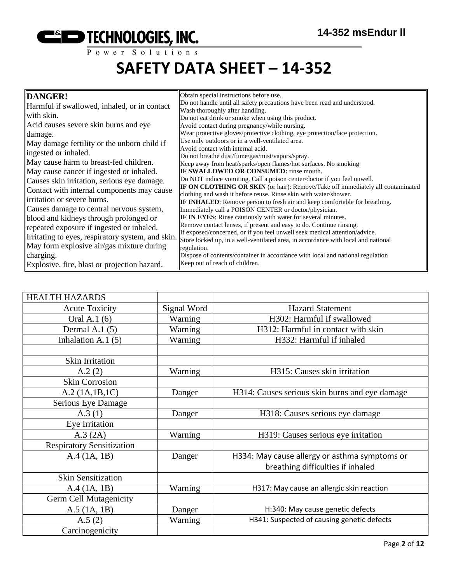

| DANGER!                                           | Obtain special instructions before use.                                                                                                           |
|---------------------------------------------------|---------------------------------------------------------------------------------------------------------------------------------------------------|
| Harmful if swallowed, inhaled, or in contact      | Do not handle until all safety precautions have been read and understood.                                                                         |
| with skin.                                        | Wash thoroughly after handling.                                                                                                                   |
|                                                   | Do not eat drink or smoke when using this product.                                                                                                |
| Acid causes severe skin burns and eye             | Avoid contact during pregnancy/while nursing.                                                                                                     |
| damage.                                           | Wear protective gloves/protective clothing, eye protection/face protection.                                                                       |
| May damage fertility or the unborn child if       | Use only outdoors or in a well-ventilated area.                                                                                                   |
| ingested or inhaled.                              | Avoid contact with internal acid.                                                                                                                 |
| May cause harm to breast-fed children.            | Do not breathe dust/fume/gas/mist/vapors/spray.                                                                                                   |
|                                                   | Keep away from heat/sparks/open flames/hot surfaces. No smoking                                                                                   |
| May cause cancer if ingested or inhaled.          | <b>IF SWALLOWED OR CONSUMED:</b> rinse mouth.                                                                                                     |
| Causes skin irritation, serious eye damage.       | Do NOT induce vomiting. Call a poison center/doctor if you feel unwell.                                                                           |
| Contact with internal components may cause        | <b>IF ON CLOTHING OR SKIN</b> (or hair): Remove/Take off immediately all contaminated                                                             |
| irritation or severe burns.                       | clothing and wash it before reuse. Rinse skin with water/shower.                                                                                  |
| Causes damage to central nervous system,          | <b>IF INHALED:</b> Remove person to fresh air and keep comfortable for breathing.                                                                 |
|                                                   | Immediately call a POISON CENTER or doctor/physician.                                                                                             |
| blood and kidneys through prolonged or            | <b>IF IN EYES:</b> Rinse cautiously with water for several minutes.                                                                               |
| repeated exposure if ingested or inhaled.         | Remove contact lenses, if present and easy to do. Continue rinsing.<br>If exposed/concerned, or if you feel unwell seek medical attention/advice. |
| Irritating to eyes, respiratory system, and skin. | Store locked up, in a well-ventilated area, in accordance with local and national                                                                 |
| May form explosive air/gas mixture during         | regulation.                                                                                                                                       |
| charging.                                         | Dispose of contents/container in accordance with local and national regulation                                                                    |
|                                                   | Keep out of reach of children.                                                                                                                    |
| Explosive, fire, blast or projection hazard.      |                                                                                                                                                   |

| <b>HEALTH HAZARDS</b>            |             |                                                |
|----------------------------------|-------------|------------------------------------------------|
| <b>Acute Toxicity</b>            | Signal Word | <b>Hazard Statement</b>                        |
| Oral A.1 (6)                     | Warning     | H302: Harmful if swallowed                     |
| Dermal A.1 $(5)$                 | Warning     | H312: Harmful in contact with skin             |
| Inhalation A.1 $(5)$             | Warning     | H332: Harmful if inhaled                       |
|                                  |             |                                                |
| Skin Irritation                  |             |                                                |
| A.2(2)                           | Warning     | H315: Causes skin irritation                   |
| <b>Skin Corrosion</b>            |             |                                                |
| A.2 (1A.1B.1C)                   | Danger      | H314: Causes serious skin burns and eye damage |
| Serious Eye Damage               |             |                                                |
| A.3(1)                           | Danger      | H318: Causes serious eye damage                |
| Eye Irritation                   |             |                                                |
| A.3 (2A)                         | Warning     | H319: Causes serious eye irritation            |
| <b>Respiratory Sensitization</b> |             |                                                |
| A.4(1A, 1B)                      | Danger      | H334: May cause allergy or asthma symptoms or  |
|                                  |             | breathing difficulties if inhaled              |
| <b>Skin Sensitization</b>        |             |                                                |
| A.4 (1A, 1B)                     | Warning     | H317: May cause an allergic skin reaction      |
| <b>Germ Cell Mutagenicity</b>    |             |                                                |
| $A.5$ (1A, 1B)                   | Danger      | H:340: May cause genetic defects               |
| A.5(2)                           | Warning     | H341: Suspected of causing genetic defects     |
| Carcinogenicity                  |             |                                                |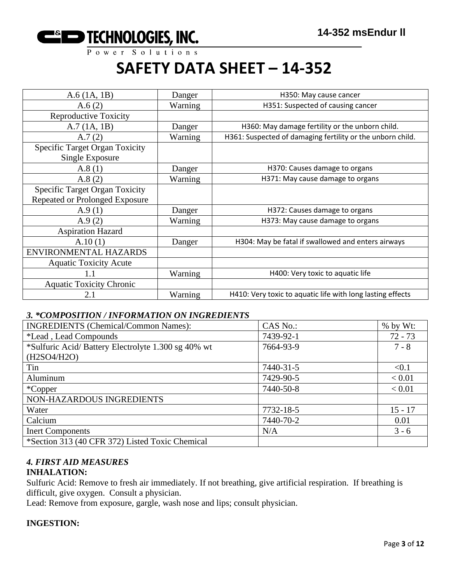

| A.6(1A, 1B)                                              | Danger  | H350: May cause cancer                                     |
|----------------------------------------------------------|---------|------------------------------------------------------------|
| A.6(2)                                                   | Warning | H351: Suspected of causing cancer                          |
| <b>Reproductive Toxicity</b>                             |         |                                                            |
| A.7(1A, 1B)                                              | Danger  | H360: May damage fertility or the unborn child.            |
| A.7(2)                                                   | Warning | H361: Suspected of damaging fertility or the unborn child. |
| <b>Specific Target Organ Toxicity</b><br>Single Exposure |         |                                                            |
| A.8(1)                                                   | Danger  | H370: Causes damage to organs                              |
| A.8(2)                                                   | Warning | H371: May cause damage to organs                           |
| <b>Specific Target Organ Toxicity</b>                    |         |                                                            |
| Repeated or Prolonged Exposure                           |         |                                                            |
| A.9(1)                                                   | Danger  | H372: Causes damage to organs                              |
| A.9(2)                                                   | Warning | H373: May cause damage to organs                           |
| <b>Aspiration Hazard</b>                                 |         |                                                            |
| A.10(1)                                                  | Danger  | H304: May be fatal if swallowed and enters airways         |
| ENVIRONMENTAL HAZARDS                                    |         |                                                            |
| <b>Aquatic Toxicity Acute</b>                            |         |                                                            |
|                                                          | Warning | H400: Very toxic to aquatic life                           |
| <b>Aquatic Toxicity Chronic</b>                          |         |                                                            |
| 2.1                                                      | Warning | H410: Very toxic to aquatic life with long lasting effects |

#### *3. \*COMPOSITION / INFORMATION ON INGREDIENTS*

| <b>INGREDIENTS (Chemical/Common Names):</b>        | CAS No.:  | % by Wt:  |
|----------------------------------------------------|-----------|-----------|
| *Lead, Lead Compounds                              | 7439-92-1 | $72 - 73$ |
| *Sulfuric Acid/Battery Electrolyte 1.300 sg 40% wt | 7664-93-9 | $7 - 8$   |
| (H2SO4/H2O)                                        |           |           |
| Tin                                                | 7440-31-5 | < 0.1     |
| Aluminum                                           | 7429-90-5 | < 0.01    |
| *Copper                                            | 7440-50-8 | < 0.01    |
| NON-HAZARDOUS INGREDIENTS                          |           |           |
| Water                                              | 7732-18-5 | $15 - 17$ |
| Calcium                                            | 7440-70-2 | 0.01      |
| <b>Inert Components</b>                            | N/A       | $3 - 6$   |
| *Section 313 (40 CFR 372) Listed Toxic Chemical    |           |           |

# *4. FIRST AID MEASURES*

## **INHALATION:**

Sulfuric Acid: Remove to fresh air immediately. If not breathing, give artificial respiration. If breathing is difficult, give oxygen. Consult a physician.

Lead: Remove from exposure, gargle, wash nose and lips; consult physician.

### **INGESTION:**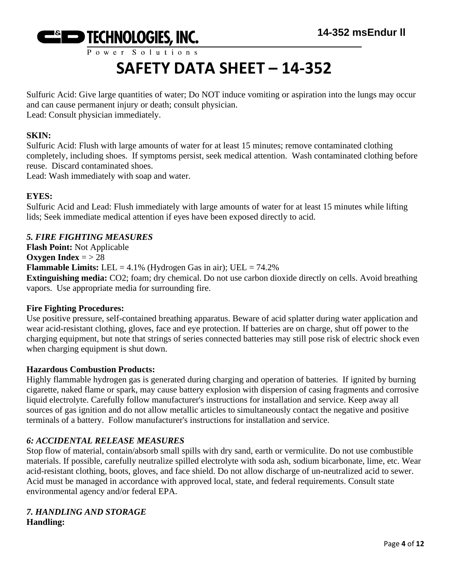

Sulfuric Acid: Give large quantities of water; Do NOT induce vomiting or aspiration into the lungs may occur and can cause permanent injury or death; consult physician. Lead: Consult physician immediately.

#### **SKIN:**

Sulfuric Acid: Flush with large amounts of water for at least 15 minutes; remove contaminated clothing completely, including shoes. If symptoms persist, seek medical attention. Wash contaminated clothing before reuse. Discard contaminated shoes.

Lead: Wash immediately with soap and water.

#### **EYES:**

Sulfuric Acid and Lead: Flush immediately with large amounts of water for at least 15 minutes while lifting lids; Seek immediate medical attention if eyes have been exposed directly to acid.

#### *5. FIRE FIGHTING MEASURES*

**Flash Point:** Not Applicable **Oxygen Index** =  $> 28$ **Flammable Limits:** LEL =  $4.1\%$  (Hydrogen Gas in air); UEL =  $74.2\%$ **Extinguishing media:** CO2; foam; dry chemical. Do not use carbon dioxide directly on cells. Avoid breathing vapors. Use appropriate media for surrounding fire.

#### **Fire Fighting Procedures:**

Use positive pressure, self-contained breathing apparatus. Beware of acid splatter during water application and wear acid-resistant clothing, gloves, face and eye protection. If batteries are on charge, shut off power to the charging equipment, but note that strings of series connected batteries may still pose risk of electric shock even when charging equipment is shut down.

#### **Hazardous Combustion Products:**

Highly flammable hydrogen gas is generated during charging and operation of batteries. If ignited by burning cigarette, naked flame or spark, may cause battery explosion with dispersion of casing fragments and corrosive liquid electrolyte. Carefully follow manufacturer's instructions for installation and service. Keep away all sources of gas ignition and do not allow metallic articles to simultaneously contact the negative and positive terminals of a battery. Follow manufacturer's instructions for installation and service.

### *6: ACCIDENTAL RELEASE MEASURES*

Stop flow of material, contain/absorb small spills with dry sand, earth or vermiculite. Do not use combustible materials. If possible, carefully neutralize spilled electrolyte with soda ash, sodium bicarbonate, lime, etc. Wear acid-resistant clothing, boots, gloves, and face shield. Do not allow discharge of un-neutralized acid to sewer. Acid must be managed in accordance with approved local, state, and federal requirements. Consult state environmental agency and/or federal EPA.

#### *7. HANDLING AND STORAGE* **Handling:**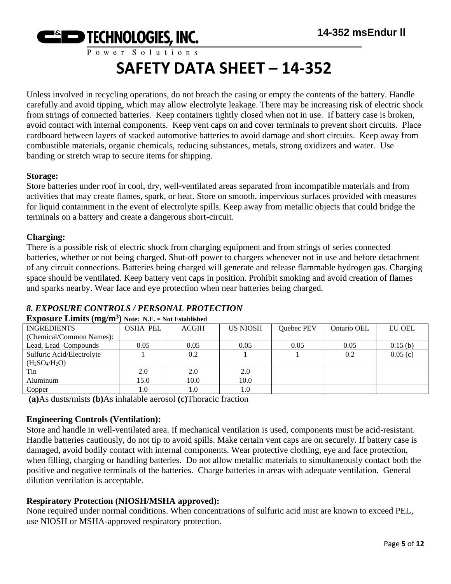

Unless involved in recycling operations, do not breach the casing or empty the contents of the battery. Handle carefully and avoid tipping, which may allow electrolyte leakage. There may be increasing risk of electric shock from strings of connected batteries. Keep containers tightly closed when not in use. If battery case is broken, avoid contact with internal components. Keep vent caps on and cover terminals to prevent short circuits. Place cardboard between layers of stacked automotive batteries to avoid damage and short circuits. Keep away from combustible materials, organic chemicals, reducing substances, metals, strong oxidizers and water. Use banding or stretch wrap to secure items for shipping.

#### **Storage:**

Store batteries under roof in cool, dry, well-ventilated areas separated from incompatible materials and from activities that may create flames, spark, or heat. Store on smooth, impervious surfaces provided with measures for liquid containment in the event of electrolyte spills. Keep away from metallic objects that could bridge the terminals on a battery and create a dangerous short-circuit.

### **Charging:**

There is a possible risk of electric shock from charging equipment and from strings of series connected batteries, whether or not being charged. Shut-off power to chargers whenever not in use and before detachment of any circuit connections. Batteries being charged will generate and release flammable hydrogen gas. Charging space should be ventilated. Keep battery vent caps in position. Prohibit smoking and avoid creation of flames and sparks nearby. Wear face and eye protection when near batteries being charged.

# *8. EXPOSURE CONTROLS / PERSONAL PROTECTION*

| <b>INGREDIENTS</b>        | <b>OSHA PEL</b> | <b>ACGIH</b> | <b>US NIOSH</b> | Quebec PEV | Ontario OEL | <b>EU OEL</b> |
|---------------------------|-----------------|--------------|-----------------|------------|-------------|---------------|
| (Chemical/Common Names):  |                 |              |                 |            |             |               |
| Lead, Lead Compounds      | 0.05            | 0.05         | 0.05            | 0.05       | 0.05        | 0.15(b)       |
| Sulfuric Acid/Electrolyte |                 | 0.2          |                 |            | 0.2         | 0.05(c)       |
| $(H_2SO_4/H_2O)$          |                 |              |                 |            |             |               |
| Tin                       | 2.0             | 2.0          | 2.0             |            |             |               |
| Aluminum                  | 15.0            | 10.0         | 10.0            |            |             |               |
| Copper                    | 0.1             | 1.0          | 1.0             |            |             |               |

### **Exposure Limits (mg/m<sup>3</sup> ) Note: N.E. = Not Established**

**(a)**As dusts/mists **(b)**As inhalable aerosol **(c)**Thoracic fraction

### **Engineering Controls (Ventilation):**

Store and handle in well-ventilated area. If mechanical ventilation is used, components must be acid-resistant. Handle batteries cautiously, do not tip to avoid spills. Make certain vent caps are on securely. If battery case is damaged, avoid bodily contact with internal components. Wear protective clothing, eye and face protection, when filling, charging or handling batteries. Do not allow metallic materials to simultaneously contact both the positive and negative terminals of the batteries. Charge batteries in areas with adequate ventilation. General dilution ventilation is acceptable.

### **Respiratory Protection (NIOSH/MSHA approved):**

None required under normal conditions. When concentrations of sulfuric acid mist are known to exceed PEL, use NIOSH or MSHA-approved respiratory protection.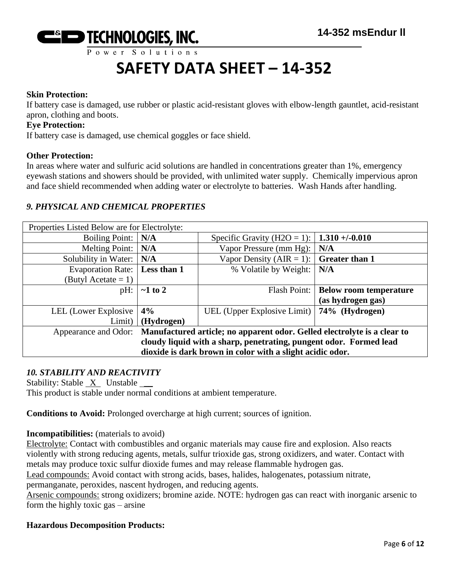

#### **Skin Protection:**

If battery case is damaged, use rubber or plastic acid-resistant gloves with elbow-length gauntlet, acid-resistant apron, clothing and boots.

#### **Eye Protection:**

If battery case is damaged, use chemical goggles or face shield.

#### **Other Protection:**

In areas where water and sulfuric acid solutions are handled in concentrations greater than 1%, emergency eyewash stations and showers should be provided, with unlimited water supply. Chemically impervious apron and face shield recommended when adding water or electrolyte to batteries. Wash Hands after handling.

#### *9. PHYSICAL AND CHEMICAL PROPERTIES*

| Properties Listed Below are for Electrolyte:                                                  |               |                                              |                               |  |
|-----------------------------------------------------------------------------------------------|---------------|----------------------------------------------|-------------------------------|--|
| Boiling Point:   N/A                                                                          |               | Specific Gravity ( $H2O = 1$ ):              | $1.310 + (-0.010$             |  |
| Melting Point: $\vert N/A \vert$                                                              |               | Vapor Pressure (mm Hg):                      | N/A                           |  |
| Solubility in Water:   N/A                                                                    |               | Vapor Density (AIR = 1):                     | <b>Greater than 1</b>         |  |
| Evaporation Rate:   Less than 1                                                               |               | % Volatile by Weight:                        | N/A                           |  |
| (Butyl Acetate $= 1$ )                                                                        |               |                                              |                               |  |
| $pH$ :                                                                                        | $\sim$ 1 to 2 | <b>Flash Point:</b>                          | <b>Below room temperature</b> |  |
|                                                                                               |               |                                              | (as hydrogen gas)             |  |
| LEL (Lower Explosive)                                                                         | 4%            | UEL (Upper Explosive Limit)   74% (Hydrogen) |                               |  |
| Limit)                                                                                        | (Hydrogen)    |                                              |                               |  |
| Appearance and Odor: Manufactured article; no apparent odor. Gelled electrolyte is a clear to |               |                                              |                               |  |
| cloudy liquid with a sharp, penetrating, pungent odor. Formed lead                            |               |                                              |                               |  |
| dioxide is dark brown in color with a slight acidic odor.                                     |               |                                              |                               |  |

#### *10. STABILITY AND REACTIVITY*

Stability: Stable  $X$  Unstable  $\_\_\_\$ 

This product is stable under normal conditions at ambient temperature.

**Conditions to Avoid:** Prolonged overcharge at high current; sources of ignition.

**Incompatibilities:** (materials to avoid)

Electrolyte: Contact with combustibles and organic materials may cause fire and explosion. Also reacts violently with strong reducing agents, metals, sulfur trioxide gas, strong oxidizers, and water. Contact with metals may produce toxic sulfur dioxide fumes and may release flammable hydrogen gas.

Lead compounds: Avoid contact with strong acids, bases, halides, halogenates, potassium nitrate,

permanganate, peroxides, nascent hydrogen, and reducing agents.

Arsenic compounds: strong oxidizers; bromine azide. NOTE: hydrogen gas can react with inorganic arsenic to form the highly toxic gas – arsine

#### **Hazardous Decomposition Products:**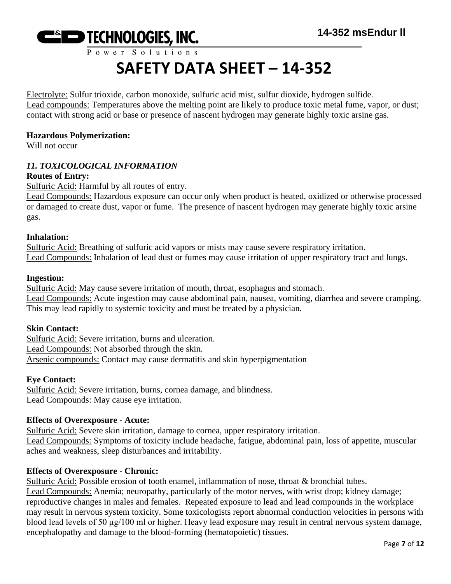

Electrolyte: Sulfur trioxide, carbon monoxide, sulfuric acid mist, sulfur dioxide, hydrogen sulfide. Lead compounds: Temperatures above the melting point are likely to produce toxic metal fume, vapor, or dust; contact with strong acid or base or presence of nascent hydrogen may generate highly toxic arsine gas.

#### **Hazardous Polymerization:**

Will not occur

#### *11. TOXICOLOGICAL INFORMATION*

#### **Routes of Entry:**

Sulfuric Acid: Harmful by all routes of entry.

Lead Compounds: Hazardous exposure can occur only when product is heated, oxidized or otherwise processed or damaged to create dust, vapor or fume. The presence of nascent hydrogen may generate highly toxic arsine gas.

#### **Inhalation:**

Sulfuric Acid: Breathing of sulfuric acid vapors or mists may cause severe respiratory irritation. Lead Compounds: Inhalation of lead dust or fumes may cause irritation of upper respiratory tract and lungs.

#### **Ingestion:**

Sulfuric Acid: May cause severe irritation of mouth, throat, esophagus and stomach. Lead Compounds: Acute ingestion may cause abdominal pain, nausea, vomiting, diarrhea and severe cramping. This may lead rapidly to systemic toxicity and must be treated by a physician.

#### **Skin Contact:**

Sulfuric Acid: Severe irritation, burns and ulceration. Lead Compounds: Not absorbed through the skin. Arsenic compounds: Contact may cause dermatitis and skin hyperpigmentation

#### **Eye Contact:**

Sulfuric Acid: Severe irritation, burns, cornea damage, and blindness. Lead Compounds: May cause eye irritation.

#### **Effects of Overexposure - Acute:**

Sulfuric Acid: Severe skin irritation, damage to cornea, upper respiratory irritation. Lead Compounds: Symptoms of toxicity include headache, fatigue, abdominal pain, loss of appetite, muscular aches and weakness, sleep disturbances and irritability.

#### **Effects of Overexposure - Chronic:**

Sulfuric Acid: Possible erosion of tooth enamel, inflammation of nose, throat & bronchial tubes. Lead Compounds: Anemia; neuropathy, particularly of the motor nerves, with wrist drop; kidney damage; reproductive changes in males and females. Repeated exposure to lead and lead compounds in the workplace may result in nervous system toxicity. Some toxicologists report abnormal conduction velocities in persons with blood lead levels of 50 μg/100 ml or higher. Heavy lead exposure may result in central nervous system damage, encephalopathy and damage to the blood-forming (hematopoietic) tissues.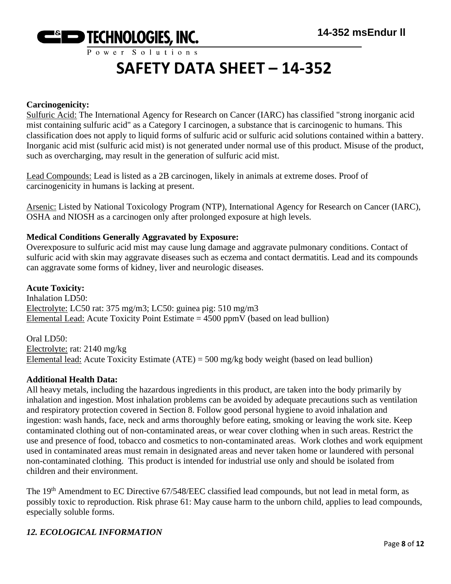

#### **Carcinogenicity:**

Sulfuric Acid: The International Agency for Research on Cancer (IARC) has classified "strong inorganic acid mist containing sulfuric acid" as a Category I carcinogen, a substance that is carcinogenic to humans. This classification does not apply to liquid forms of sulfuric acid or sulfuric acid solutions contained within a battery. Inorganic acid mist (sulfuric acid mist) is not generated under normal use of this product. Misuse of the product, such as overcharging, may result in the generation of sulfuric acid mist.

Lead Compounds: Lead is listed as a 2B carcinogen, likely in animals at extreme doses. Proof of carcinogenicity in humans is lacking at present.

Arsenic: Listed by National Toxicology Program (NTP), International Agency for Research on Cancer (IARC), OSHA and NIOSH as a carcinogen only after prolonged exposure at high levels.

#### **Medical Conditions Generally Aggravated by Exposure:**

Overexposure to sulfuric acid mist may cause lung damage and aggravate pulmonary conditions. Contact of sulfuric acid with skin may aggravate diseases such as eczema and contact dermatitis. Lead and its compounds can aggravate some forms of kidney, liver and neurologic diseases.

#### **Acute Toxicity:**

Inhalation LD50: Electrolyte: LC50 rat: 375 mg/m3; LC50: guinea pig: 510 mg/m3 Elemental Lead: Acute Toxicity Point Estimate  $= 4500$  ppmV (based on lead bullion)

Oral LD50: Electrolyte: rat: 2140 mg/kg Elemental lead: Acute Toxicity Estimate (ATE) = 500 mg/kg body weight (based on lead bullion)

#### **Additional Health Data:**

All heavy metals, including the hazardous ingredients in this product, are taken into the body primarily by inhalation and ingestion. Most inhalation problems can be avoided by adequate precautions such as ventilation and respiratory protection covered in Section 8. Follow good personal hygiene to avoid inhalation and ingestion: wash hands, face, neck and arms thoroughly before eating, smoking or leaving the work site. Keep contaminated clothing out of non-contaminated areas, or wear cover clothing when in such areas. Restrict the use and presence of food, tobacco and cosmetics to non-contaminated areas. Work clothes and work equipment used in contaminated areas must remain in designated areas and never taken home or laundered with personal non-contaminated clothing. This product is intended for industrial use only and should be isolated from children and their environment.

The 19<sup>th</sup> Amendment to EC Directive 67/548/EEC classified lead compounds, but not lead in metal form, as possibly toxic to reproduction. Risk phrase 61: May cause harm to the unborn child, applies to lead compounds, especially soluble forms.

#### *12. ECOLOGICAL INFORMATION*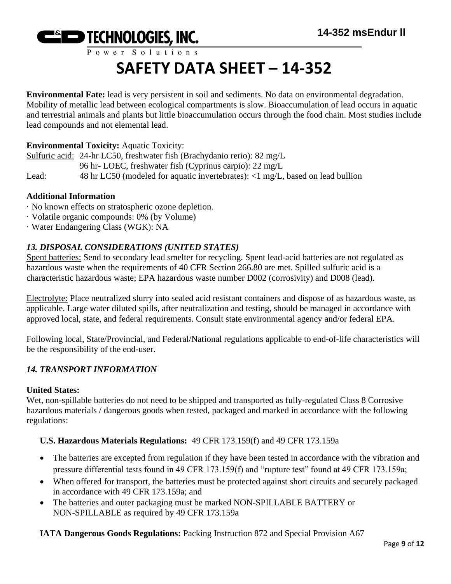

**Environmental Fate:** lead is very persistent in soil and sediments. No data on environmental degradation. Mobility of metallic lead between ecological compartments is slow. Bioaccumulation of lead occurs in aquatic and terrestrial animals and plants but little bioaccumulation occurs through the food chain. Most studies include lead compounds and not elemental lead.

### **Environmental Toxicity:** Aquatic Toxicity:

Sulfuric acid: 24-hr LC50, freshwater fish (Brachydanio rerio): 82 mg/L 96 hr- LOEC, freshwater fish (Cyprinus carpio): 22 mg/L Lead: 48 hr LC50 (modeled for aquatic invertebrates): <1 mg/L, based on lead bullion

#### **Additional Information**

- · No known effects on stratospheric ozone depletion.
- · Volatile organic compounds: 0% (by Volume)
- · Water Endangering Class (WGK): NA

### *13. DISPOSAL CONSIDERATIONS (UNITED STATES)*

Spent batteries: Send to secondary lead smelter for recycling. Spent lead-acid batteries are not regulated as hazardous waste when the requirements of 40 CFR Section 266.80 are met. Spilled sulfuric acid is a characteristic hazardous waste; EPA hazardous waste number D002 (corrosivity) and D008 (lead).

Electrolyte: Place neutralized slurry into sealed acid resistant containers and dispose of as hazardous waste, as applicable. Large water diluted spills, after neutralization and testing, should be managed in accordance with approved local, state, and federal requirements. Consult state environmental agency and/or federal EPA.

Following local, State/Provincial, and Federal/National regulations applicable to end-of-life characteristics will be the responsibility of the end-user.

### *14. TRANSPORT INFORMATION*

#### **United States:**

Wet, non-spillable batteries do not need to be shipped and transported as fully-regulated Class 8 Corrosive hazardous materials / dangerous goods when tested, packaged and marked in accordance with the following regulations:

#### **U.S. Hazardous Materials Regulations:** 49 CFR 173.159(f) and 49 CFR 173.159a

- The batteries are excepted from regulation if they have been tested in accordance with the vibration and pressure differential tests found in 49 CFR 173.159(f) and "rupture test" found at 49 CFR 173.159a;
- When offered for transport, the batteries must be protected against short circuits and securely packaged in accordance with 49 CFR 173.159a; and
- The batteries and outer packaging must be marked NON-SPILLABLE BATTERY or NON-SPILLABLE as required by 49 CFR 173.159a

**IATA Dangerous Goods Regulations:** Packing Instruction 872 and Special Provision A67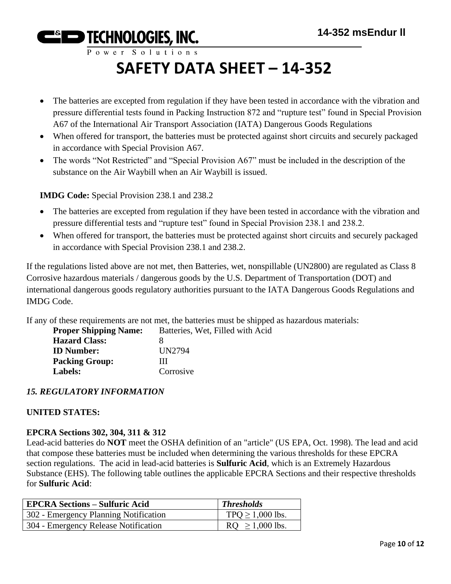Power Solutions

# **SAFETY DATA SHEET – 14-352**

- The batteries are excepted from regulation if they have been tested in accordance with the vibration and pressure differential tests found in Packing Instruction 872 and "rupture test" found in Special Provision A67 of the International Air Transport Association (IATA) Dangerous Goods Regulations
- When offered for transport, the batteries must be protected against short circuits and securely packaged in accordance with Special Provision A67.
- The words "Not Restricted" and "Special Provision A67" must be included in the description of the substance on the Air Waybill when an Air Waybill is issued.

**IMDG Code:** Special Provision 238.1 and 238.2

- The batteries are excepted from regulation if they have been tested in accordance with the vibration and pressure differential tests and "rupture test" found in Special Provision 238.1 and 238.2.
- When offered for transport, the batteries must be protected against short circuits and securely packaged in accordance with Special Provision 238.1 and 238.2.

If the regulations listed above are not met, then Batteries, wet, nonspillable (UN2800) are regulated as Class 8 Corrosive hazardous materials / dangerous goods by the U.S. Department of Transportation (DOT) and international dangerous goods regulatory authorities pursuant to the IATA Dangerous Goods Regulations and IMDG Code.

If any of these requirements are not met, the batteries must be shipped as hazardous materials:

| <b>Proper Shipping Name:</b> | Batteries, Wet, Filled with Acid |
|------------------------------|----------------------------------|
| <b>Hazard Class:</b>         |                                  |
| <b>ID</b> Number:            | UN2794                           |
| <b>Packing Group:</b>        | ш                                |
| Labels:                      | Corrosive                        |

# *15. REGULATORY INFORMATION*

# **UNITED STATES:**

### **EPCRA Sections 302, 304, 311 & 312**

Lead-acid batteries do **NOT** meet the OSHA definition of an "article" (US EPA, Oct. 1998). The lead and acid that compose these batteries must be included when determining the various thresholds for these EPCRA section regulations. The acid in lead-acid batteries is **Sulfuric Acid**, which is an Extremely Hazardous Substance (EHS). The following table outlines the applicable EPCRA Sections and their respective thresholds for **Sulfuric Acid**:

| <b>EPCRA Sections – Sulfuric Acid</b> | <b>Thresholds</b>    |
|---------------------------------------|----------------------|
| 302 - Emergency Planning Notification | $TPQ \ge 1,000$ lbs. |
| 304 - Emergency Release Notification  | $RQ \ge 1,000$ lbs.  |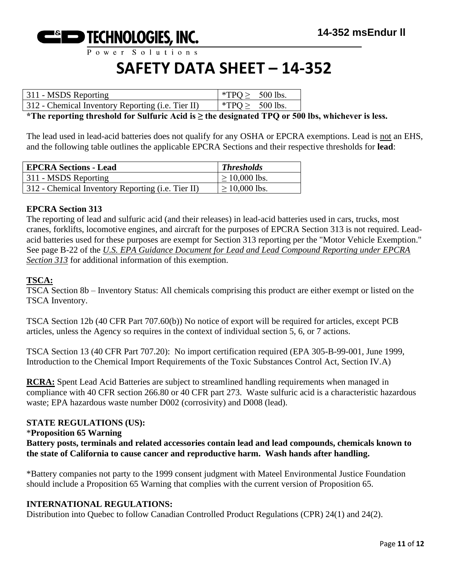

Power Solutions

# **SAFETY DATA SHEET – 14-352**

| 311 - MSDS Reporting                              | *TPQ $\geq$ 500 lbs. |  |
|---------------------------------------------------|----------------------|--|
| 312 - Chemical Inventory Reporting (i.e. Tier II) | *TPQ $\geq$ 500 lbs. |  |

**\*The reporting threshold for Sulfuric Acid is ≥ the designated TPQ or 500 lbs, whichever is less.**

The lead used in lead-acid batteries does not qualify for any OSHA or EPCRA exemptions. Lead is not an EHS, and the following table outlines the applicable EPCRA Sections and their respective thresholds for **lead**:

| <b>EPCRA Sections - Lead</b>                      | <b>Thresholds</b>  |
|---------------------------------------------------|--------------------|
| 311 - MSDS Reporting                              | $\geq 10,000$ lbs. |
| 312 - Chemical Inventory Reporting (i.e. Tier II) | $\geq$ 10,000 lbs. |

#### **EPCRA Section 313**

The reporting of lead and sulfuric acid (and their releases) in lead-acid batteries used in cars, trucks, most cranes, forklifts, locomotive engines, and aircraft for the purposes of EPCRA Section 313 is not required. Leadacid batteries used for these purposes are exempt for Section 313 reporting per the "Motor Vehicle Exemption." See page B-22 of the *U.S. EPA Guidance Document for Lead and Lead Compound Reporting under EPCRA Section 313* for additional information of this exemption.

#### **TSCA:**

TSCA Section 8b – Inventory Status: All chemicals comprising this product are either exempt or listed on the TSCA Inventory.

TSCA Section 12b (40 CFR Part 707.60(b)) No notice of export will be required for articles, except PCB articles, unless the Agency so requires in the context of individual section 5, 6, or 7 actions.

TSCA Section 13 (40 CFR Part 707.20): No import certification required (EPA 305-B-99-001, June 1999, Introduction to the Chemical Import Requirements of the Toxic Substances Control Act, Section IV.A)

**RCRA:** Spent Lead Acid Batteries are subject to streamlined handling requirements when managed in compliance with 40 CFR section 266.80 or 40 CFR part 273. Waste sulfuric acid is a characteristic hazardous waste; EPA hazardous waste number D002 (corrosivity) and D008 (lead).

#### **STATE REGULATIONS (US):**

#### \***Proposition 65 Warning**

**Battery posts, terminals and related accessories contain lead and lead compounds, chemicals known to the state of California to cause cancer and reproductive harm. Wash hands after handling.**

\*Battery companies not party to the 1999 consent judgment with Mateel Environmental Justice Foundation should include a Proposition 65 Warning that complies with the current version of Proposition 65.

#### **INTERNATIONAL REGULATIONS:**

Distribution into Quebec to follow Canadian Controlled Product Regulations (CPR) 24(1) and 24(2).